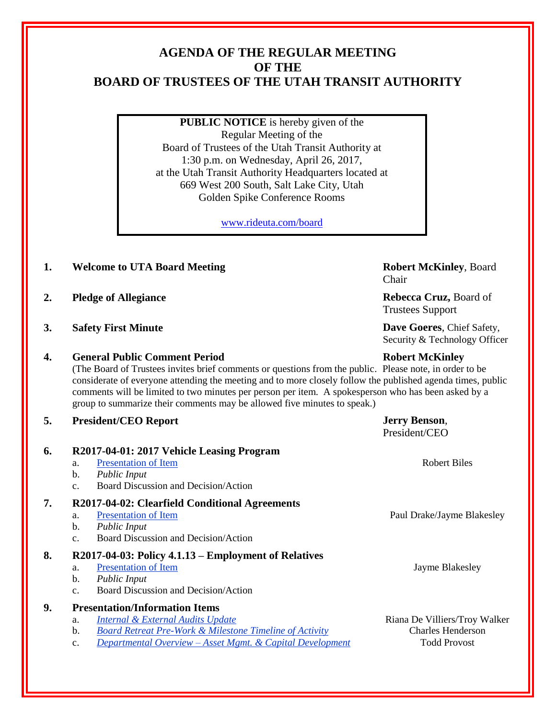# **AGENDA OF THE REGULAR MEETING OF THE BOARD OF TRUSTEES OF THE UTAH TRANSIT AUTHORITY**

**PUBLIC NOTICE** is hereby given of the Regular Meeting of the Board of Trustees of the Utah Transit Authority at 1:30 p.m. on Wednesday, April 26, 2017, at the Utah Transit Authority Headquarters located at 669 West 200 South, Salt Lake City, Utah Golden Spike Conference Rooms

[www.rideuta.com/board](http://www.rideuta.com/board)

- **1. Welcome to UTA Board Meeting <b>Robert McKinley**, Board
- **2. Pledge of Allegiance Rebecca Cruz, Board of**
- **3. Safety First Minute Dave Goeres**, Chief Safety,

# **4. General Public Comment Period Robert McKinley**

(The Board of Trustees invites brief comments or questions from the public. Please note, in order to be considerate of everyone attending the meeting and to more closely follow the published agenda times, public comments will be limited to two minutes per person per item. A spokesperson who has been asked by a group to summarize their comments may be allowed five minutes to speak.)

Chair

Trustees Support

Security & Technology Officer

## **5. President/CEO Report Jerry Benson**,

|    |                                                                                                                                                                                                                                                         | President/CEO                                                                    |
|----|---------------------------------------------------------------------------------------------------------------------------------------------------------------------------------------------------------------------------------------------------------|----------------------------------------------------------------------------------|
| 6. | R2017-04-01: 2017 Vehicle Leasing Program<br><b>Presentation of Item</b><br>a.<br>b.<br><b>Public Input</b>                                                                                                                                             | <b>Robert Biles</b>                                                              |
| 7. | Board Discussion and Decision/Action<br>C <sub>1</sub><br>R2017-04-02: Clearfield Conditional Agreements<br><b>Presentation of Item</b><br>a.<br>b.<br><b>Public Input</b><br><b>Board Discussion and Decision/Action</b><br>C <sub>1</sub>             | Paul Drake/Jayme Blakesley                                                       |
| 8. | R2017-04-03: Policy 4.1.13 – Employment of Relatives<br><b>Presentation of Item</b><br>a.<br>b.<br><b>Public Input</b><br>Board Discussion and Decision/Action<br>C <sub>1</sub>                                                                        | Jayme Blakesley                                                                  |
| 9. | <b>Presentation/Information Items</b><br>Internal & External Audits Update<br>a.<br>$\mathbf{b}$ .<br><b>Board Retreat Pre-Work &amp; Milestone Timeline of Activity</b><br><u> Departmental Overview – Asset Mgmt. &amp; Capital Development</u><br>c. | Riana De Villiers/Troy Walker<br><b>Charles Henderson</b><br><b>Todd Provost</b> |